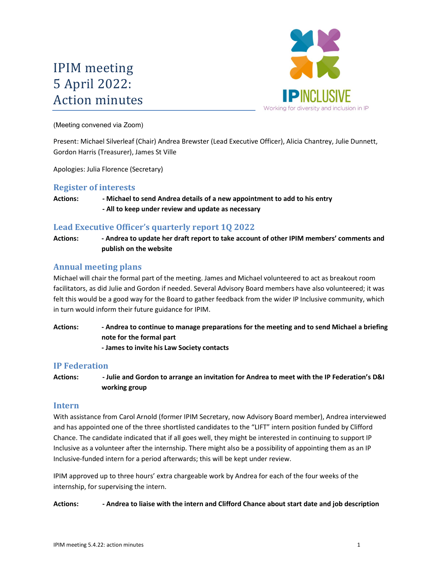# IPIM meeting 5 April 2022: Action minutes



(Meeting convened via Zoom)

Present: Michael Silverleaf (Chair) Andrea Brewster (Lead Executive Officer), Alicia Chantrey, Julie Dunnett, Gordon Harris (Treasurer), James St Ville

Apologies: Julia Florence (Secretary)

## Register of interests

## Actions: - Michael to send Andrea details of a new appointment to add to his entry - All to keep under review and update as necessary

# Lead Executive Officer's quarterly report 1Q 2022

Actions: - Andrea to update her draft report to take account of other IPIM members' comments and publish on the website

# Annual meeting plans

Michael will chair the formal part of the meeting. James and Michael volunteered to act as breakout room facilitators, as did Julie and Gordon if needed. Several Advisory Board members have also volunteered; it was felt this would be a good way for the Board to gather feedback from the wider IP Inclusive community, which in turn would inform their future guidance for IPIM.

Actions: - Andrea to continue to manage preparations for the meeting and to send Michael a briefing note for the formal part - James to invite his Law Society contacts

# IP Federation

Actions: - Julie and Gordon to arrange an invitation for Andrea to meet with the IP Federation's D&I working group

#### Intern

With assistance from Carol Arnold (former IPIM Secretary, now Advisory Board member), Andrea interviewed and has appointed one of the three shortlisted candidates to the "LIFT" intern position funded by Clifford Chance. The candidate indicated that if all goes well, they might be interested in continuing to support IP Inclusive as a volunteer after the internship. There might also be a possibility of appointing them as an IP Inclusive-funded intern for a period afterwards; this will be kept under review.

IPIM approved up to three hours' extra chargeable work by Andrea for each of the four weeks of the internship, for supervising the intern.

Actions: - - Andrea to liaise with the intern and Clifford Chance about start date and job description